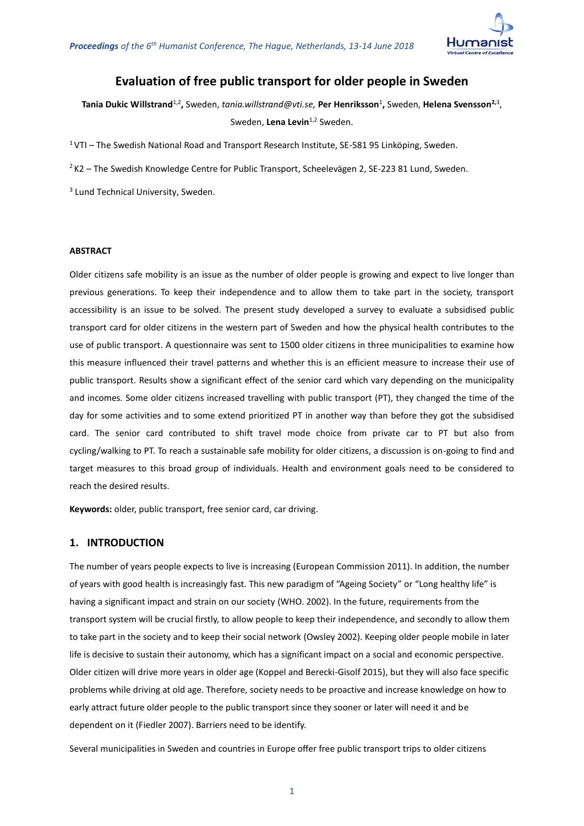

# **Evaluation of free public transport for older people in Sweden**

**Tania Dukic Willstrand**1,2 **,** Sweden, *[tania.willstrand@vti.se,](mailto:tania.willstrand@vti.se)* **Per Henriksson**<sup>1</sup> **,** Sweden, **Helena Svensson2,**<sup>3</sup> , Sweden, Lena Levin<sup>1,2</sup> Sweden.

<sup>1</sup>VTI – The Swedish National Road and Transport Research Institute, SE-581 95 Linköping, Sweden.

 $2$ K2 – The Swedish Knowledge Centre for Public Transport, Scheelevägen 2, SE-223 81 Lund, Sweden.

<sup>3</sup> Lund Technical University, Sweden.

## **ABSTRACT**

Older citizens safe mobility is an issue as the number of older people is growing and expect to live longer than previous generations. To keep their independence and to allow them to take part in the society, transport accessibility is an issue to be solved. The present study developed a survey to evaluate a subsidised public transport card for older citizens in the western part of Sweden and how the physical health contributes to the use of public transport. A questionnaire was sent to 1500 older citizens in three municipalities to examine how this measure influenced their travel patterns and whether this is an efficient measure to increase their use of public transport. Results show a significant effect of the senior card which vary depending on the municipality and incomes. Some older citizens increased travelling with public transport (PT), they changed the time of the day for some activities and to some extend prioritized PT in another way than before they got the subsidised card. The senior card contributed to shift travel mode choice from private car to PT but also from cycling/walking to PT. To reach a sustainable safe mobility for older citizens, a discussion is on-going to find and target measures to this broad group of individuals. Health and environment goals need to be considered to reach the desired results.

**Keywords:** older, public transport, free senior card, car driving.

## **1. INTRODUCTION**

The number of years people expects to live is increasing (European Commission 2011). In addition, the number of years with good health is increasingly fast. This new paradigm of "Ageing Society" or "Long healthy life" is having a significant impact and strain on our society (WHO. 2002). In the future, requirements from the transport system will be crucial firstly, to allow people to keep their independence, and secondly to allow them to take part in the society and to keep their social network (Owsley 2002). Keeping older people mobile in later life is decisive to sustain their autonomy, which has a significant impact on a social and economic perspective. Older citizen will drive more years in older age (Koppel and Berecki-Gisolf 2015), but they will also face specific problems while driving at old age. Therefore, society needs to be proactive and increase knowledge on how to early attract future older people to the public transport since they sooner or later will need it and be dependent on it (Fiedler 2007). Barriers need to be identify.

Several municipalities in Sweden and countries in Europe offer free public transport trips to older citizens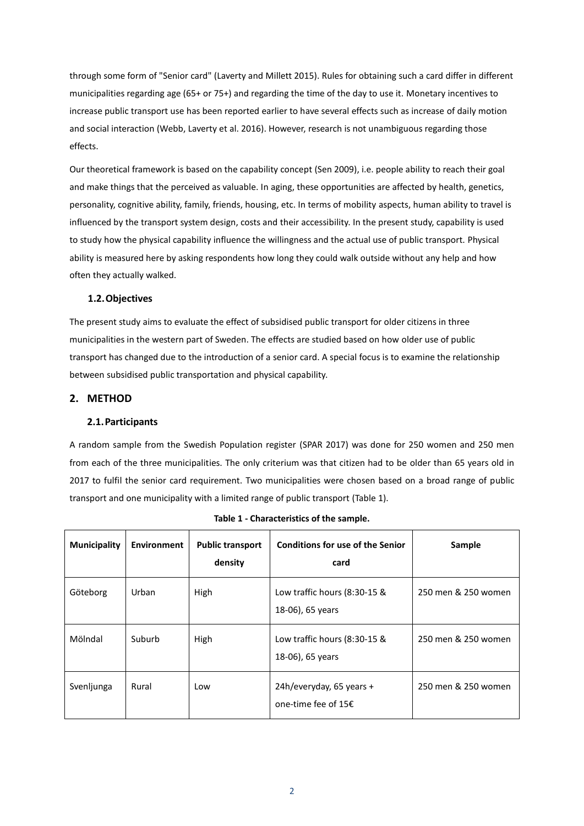through some form of "Senior card" (Laverty and Millett 2015). Rules for obtaining such a card differ in different municipalities regarding age (65+ or 75+) and regarding the time of the day to use it. Monetary incentives to increase public transport use has been reported earlier to have several effects such as increase of daily motion and social interaction (Webb, Laverty et al. 2016). However, research is not unambiguous regarding those effects.

Our theoretical framework is based on the capability concept (Sen 2009), i.e. people ability to reach their goal and make things that the perceived as valuable. In aging, these opportunities are affected by health, genetics, personality, cognitive ability, family, friends, housing, etc. In terms of mobility aspects, human ability to travel is influenced by the transport system design, costs and their accessibility. In the present study, capability is used to study how the physical capability influence the willingness and the actual use of public transport. Physical ability is measured here by asking respondents how long they could walk outside without any help and how often they actually walked.

## **1.2.Objectives**

The present study aims to evaluate the effect of subsidised public transport for older citizens in three municipalities in the western part of Sweden. The effects are studied based on how older use of public transport has changed due to the introduction of a senior card. A special focus is to examine the relationship between subsidised public transportation and physical capability.

## **2. METHOD**

#### **2.1.Participants**

A random sample from the Swedish Population register (SPAR 2017) was done for 250 women and 250 men from each of the three municipalities. The only criterium was that citizen had to be older than 65 years old in 2017 to fulfil the senior card requirement. Two municipalities were chosen based on a broad range of public transport and one municipality with a limited range of public transport [\(Table 1\)](#page-1-0).

<span id="page-1-0"></span>

| <b>Municipality</b> | <b>Environment</b> | <b>Public transport</b><br>density | <b>Conditions for use of the Senior</b><br>card     | Sample              |
|---------------------|--------------------|------------------------------------|-----------------------------------------------------|---------------------|
| Göteborg            | Urban              | High                               | Low traffic hours $(8:30-15 \&$<br>18-06), 65 years | 250 men & 250 women |
| Mölndal             | Suburb             | High                               | Low traffic hours $(8:30-15 \&$<br>18-06), 65 years | 250 men & 250 women |
| Svenljunga          | Rural              | Low                                | 24h/everyday, 65 years +<br>one-time fee of 15€     | 250 men & 250 women |

**Table 1 - Characteristics of the sample.**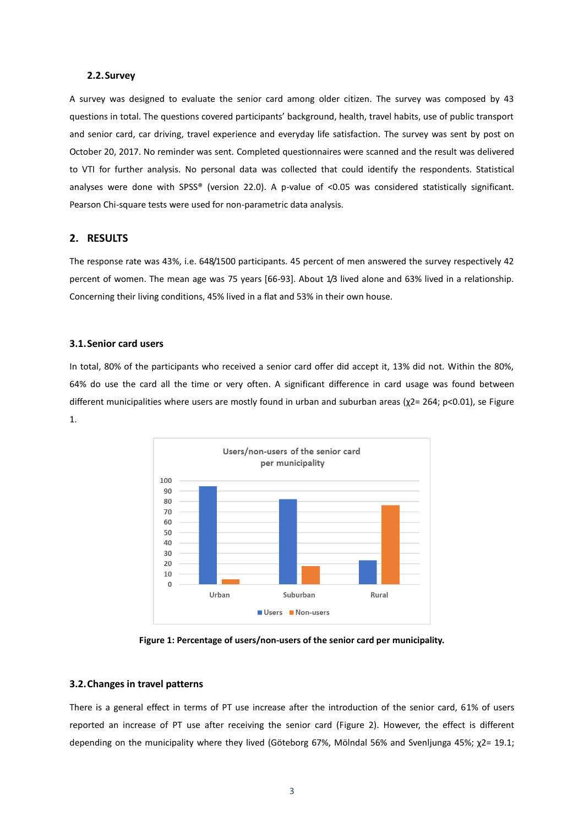#### **2.2.Survey**

A survey was designed to evaluate the senior card among older citizen. The survey was composed by 43 questions in total. The questions covered participants' background, health, travel habits, use of public transport and senior card, car driving, travel experience and everyday life satisfaction. The survey was sent by post on October 20, 2017. No reminder was sent. Completed questionnaires were scanned and the result was delivered to VTI for further analysis. No personal data was collected that could identify the respondents. Statistical analyses were done with SPSS® (version 22.0). A p-value of <0.05 was considered statistically significant. Pearson Chi-square tests were used for non-parametric data analysis.

## **2. RESULTS**

The response rate was 43%, i.e. 648/1500 participants. 45 percent of men answered the survey respectively 42 percent of women. The mean age was 75 years [66-93]. About 1/3 lived alone and 63% lived in a relationship. Concerning their living conditions, 45% lived in a flat and 53% in their own house.

#### **3.1.Senior card users**

In total, 80% of the participants who received a senior card offer did accept it, 13% did not. Within the 80%, 64% do use the card all the time or very often. A significant difference in card usage was found between different municipalities where users are mostly found in urban and suburban areas (χ2= 264; p<0.01), se Figure [1.](#page-2-0)



**Figure 1: Percentage of users/non-users of the senior card per municipality.** 

#### <span id="page-2-0"></span>**3.2.Changes in travel patterns**

There is a general effect in terms of PT use increase after the introduction of the senior card, 61% of users reported an increase of PT use after receiving the senior card [\(Figure 2\)](#page-3-0). However, the effect is different depending on the municipality where they lived (Göteborg 67%, Mölndal 56% and Svenljunga 45%; χ2= 19.1;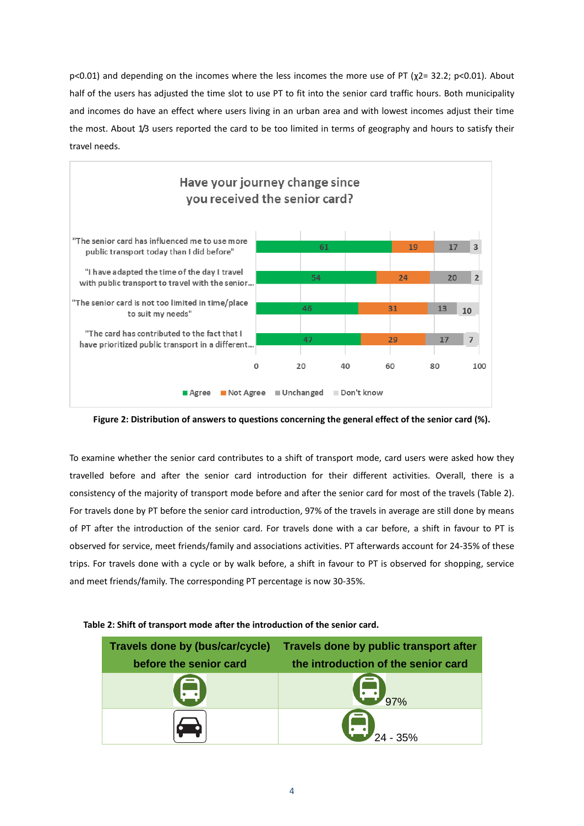p<0.01) and depending on the incomes where the less incomes the more use of PT (χ2= 32.2; p<0.01). About half of the users has adjusted the time slot to use PT to fit into the senior card traffic hours. Both municipality and incomes do have an effect where users living in an urban area and with lowest incomes adjust their time the most. About 1/3 users reported the card to be too limited in terms of geography and hours to satisfy their travel needs.



<span id="page-3-0"></span>**Figure 2: Distribution of answers to questions concerning the general effect of the senior card (%).**

To examine whether the senior card contributes to a shift of transport mode, card users were asked how they travelled before and after the senior card introduction for their different activities. Overall, there is a consistency of the majority of transport mode before and after the senior card for most of the travels [\(Table 2\)](#page-3-1). For travels done by PT before the senior card introduction, 97% of the travels in average are still done by means of PT after the introduction of the senior card. For travels done with a car before, a shift in favour to PT is observed for service, meet friends/family and associations activities. PT afterwards account for 24-35% of these trips. For travels done with a cycle or by walk before, a shift in favour to PT is observed for shopping, service and meet friends/family. The corresponding PT percentage is now 30-35%.

| Travels done by (bus/car/cycle) | Travels done by public transport after |  |
|---------------------------------|----------------------------------------|--|
| before the senior card          | the introduction of the senior card    |  |
| <b>APP</b>                      | $\left( -\right)$                      |  |
|                                 | W                                      |  |

## <span id="page-3-1"></span>**Table 2: Shift of transport mode after the introduction of the senior card.**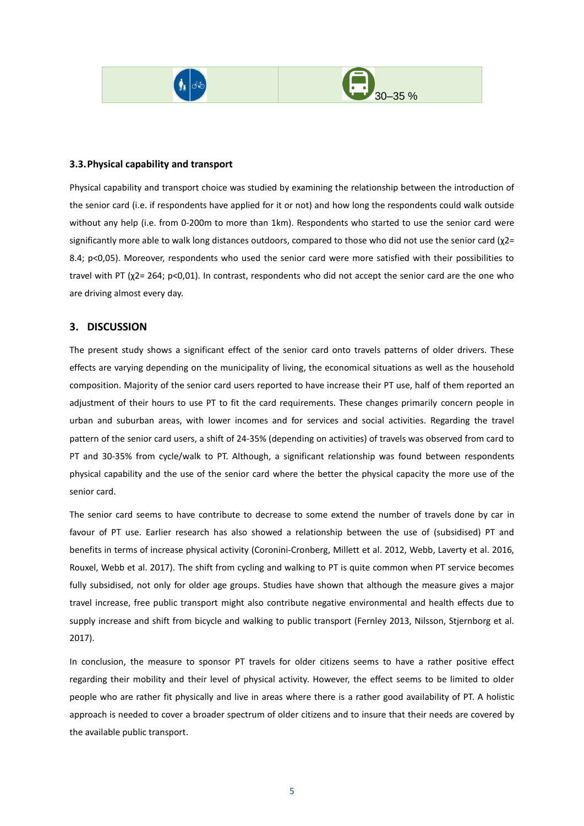



## **3.3.Physical capability and transport**

Physical capability and transport choice was studied by examining the relationship between the introduction of the senior card (i.e. if respondents have applied for it or not) and how long the respondents could walk outside without any help (i.e. from 0-200m to more than 1km). Respondents who started to use the senior card were significantly more able to walk long distances outdoors, compared to those who did not use the senior card ( $\chi$ 2= 8.4; p<0,05). Moreover, respondents who used the senior card were more satisfied with their possibilities to travel with PT (χ2= 264; p<0,01). In contrast, respondents who did not accept the senior card are the one who are driving almost every day.

## **3. DISCUSSION**

The present study shows a significant effect of the senior card onto travels patterns of older drivers. These effects are varying depending on the municipality of living, the economical situations as well as the household composition. Majority of the senior card users reported to have increase their PT use, half of them reported an adjustment of their hours to use PT to fit the card requirements. These changes primarily concern people in urban and suburban areas, with lower incomes and for services and social activities. Regarding the travel pattern of the senior card users, a shift of 24-35% (depending on activities) of travels was observed from card to PT and 30-35% from cycle/walk to PT. Although, a significant relationship was found between respondents physical capability and the use of the senior card where the better the physical capacity the more use of the senior card.

The senior card seems to have contribute to decrease to some extend the number of travels done by car in favour of PT use. Earlier research has also showed a relationship between the use of (subsidised) PT and benefits in terms of increase physical activity (Coronini-Cronberg, Millett et al. 2012, Webb, Laverty et al. 2016, Rouxel, Webb et al. 2017). The shift from cycling and walking to PT is quite common when PT service becomes fully subsidised, not only for older age groups. Studies have shown that although the measure gives a major travel increase, free public transport might also contribute negative environmental and health effects due to supply increase and shift from bicycle and walking to public transport (Fernley 2013, Nilsson, Stjernborg et al. 2017).

In conclusion, the measure to sponsor PT travels for older citizens seems to have a rather positive effect regarding their mobility and their level of physical activity. However, the effect seems to be limited to older people who are rather fit physically and live in areas where there is a rather good availability of PT. A holistic approach is needed to cover a broader spectrum of older citizens and to insure that their needs are covered by the available public transport.